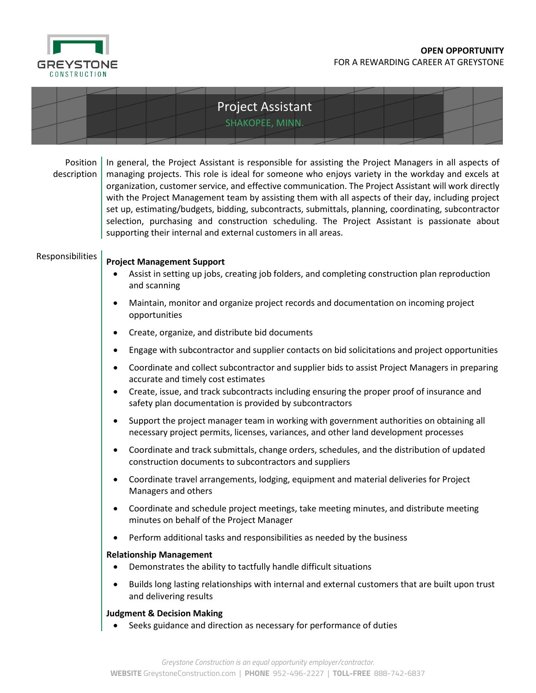

|                         | SHAKOPEE, MINN.                                                                                                                                                                                                                                                                                                                                                                                                                                                                                                                                                                                                                                                                                      |
|-------------------------|------------------------------------------------------------------------------------------------------------------------------------------------------------------------------------------------------------------------------------------------------------------------------------------------------------------------------------------------------------------------------------------------------------------------------------------------------------------------------------------------------------------------------------------------------------------------------------------------------------------------------------------------------------------------------------------------------|
| Position<br>description | In general, the Project Assistant is responsible for assisting the Project Managers in all aspects of<br>managing projects. This role is ideal for someone who enjoys variety in the workday and excels at<br>organization, customer service, and effective communication. The Project Assistant will work directly<br>with the Project Management team by assisting them with all aspects of their day, including project<br>set up, estimating/budgets, bidding, subcontracts, submittals, planning, coordinating, subcontractor<br>selection, purchasing and construction scheduling. The Project Assistant is passionate about<br>supporting their internal and external customers in all areas. |
| Responsibilities        | <b>Project Management Support</b><br>Assist in setting up jobs, creating job folders, and completing construction plan reproduction<br>and scanning                                                                                                                                                                                                                                                                                                                                                                                                                                                                                                                                                  |
|                         | Maintain, monitor and organize project records and documentation on incoming project<br>$\bullet$<br>opportunities                                                                                                                                                                                                                                                                                                                                                                                                                                                                                                                                                                                   |
|                         | Create, organize, and distribute bid documents<br>٠                                                                                                                                                                                                                                                                                                                                                                                                                                                                                                                                                                                                                                                  |
|                         | Engage with subcontractor and supplier contacts on bid solicitations and project opportunities<br>٠                                                                                                                                                                                                                                                                                                                                                                                                                                                                                                                                                                                                  |
|                         | Coordinate and collect subcontractor and supplier bids to assist Project Managers in preparing<br>$\bullet$<br>accurate and timely cost estimates<br>Create, issue, and track subcontracts including ensuring the proper proof of insurance and<br>$\bullet$                                                                                                                                                                                                                                                                                                                                                                                                                                         |
|                         | safety plan documentation is provided by subcontractors                                                                                                                                                                                                                                                                                                                                                                                                                                                                                                                                                                                                                                              |
|                         | Support the project manager team in working with government authorities on obtaining all<br>$\bullet$<br>necessary project permits, licenses, variances, and other land development processes                                                                                                                                                                                                                                                                                                                                                                                                                                                                                                        |
|                         | Coordinate and track submittals, change orders, schedules, and the distribution of updated<br>$\bullet$<br>construction documents to subcontractors and suppliers                                                                                                                                                                                                                                                                                                                                                                                                                                                                                                                                    |
|                         | Coordinate travel arrangements, lodging, equipment and material deliveries for Project<br>$\bullet$<br>Managers and others                                                                                                                                                                                                                                                                                                                                                                                                                                                                                                                                                                           |
|                         | Coordinate and schedule project meetings, take meeting minutes, and distribute meeting<br>٠<br>minutes on behalf of the Project Manager                                                                                                                                                                                                                                                                                                                                                                                                                                                                                                                                                              |
|                         | Perform additional tasks and responsibilities as needed by the business<br>٠                                                                                                                                                                                                                                                                                                                                                                                                                                                                                                                                                                                                                         |
|                         | <b>Relationship Management</b><br>Demonstrates the ability to tactfully handle difficult situations<br>$\bullet$                                                                                                                                                                                                                                                                                                                                                                                                                                                                                                                                                                                     |
|                         | Builds long lasting relationships with internal and external customers that are built upon trust<br>$\bullet$<br>and delivering results                                                                                                                                                                                                                                                                                                                                                                                                                                                                                                                                                              |
|                         | <b>Judgment &amp; Decision Making</b><br>Seeks guidance and direction as necessary for performance of duties                                                                                                                                                                                                                                                                                                                                                                                                                                                                                                                                                                                         |

Project Assistant